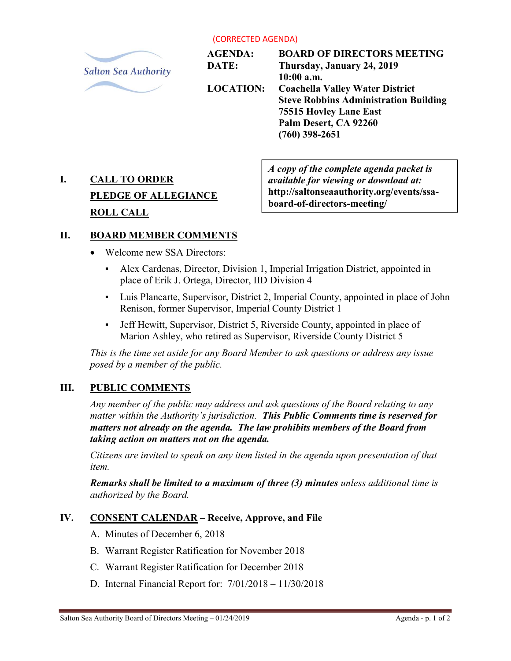(CORRECTED AGENDA)



AGENDA: DATE: LOCATION: BOARD OF DIRECTORS MEETING Thursday, January 24, 2019 10:00 a.m. Coachella Valley Water District Steve Robbins Administration Building 75515 Hovley Lane East Palm Desert, CA 92260 (760) 398-2651

# I. CALL TO ORDER PLEDGE OF ALLEGIANCE ROLL CALL

A copy of the complete agenda packet is available for viewing or download at: http://saltonseaauthority.org/events/ssaboard-of-directors-meeting/

# II. BOARD MEMBER COMMENTS

- Welcome new SSA Directors:
	- Alex Cardenas, Director, Division 1, Imperial Irrigation District, appointed in place of Erik J. Ortega, Director, IID Division 4
	- Luis Plancarte, Supervisor, District 2, Imperial County, appointed in place of John Renison, former Supervisor, Imperial County District 1
	- Jeff Hewitt, Supervisor, District 5, Riverside County, appointed in place of Marion Ashley, who retired as Supervisor, Riverside County District 5

This is the time set aside for any Board Member to ask questions or address any issue posed by a member of the public.

# III. PUBLIC COMMENTS

Any member of the public may address and ask questions of the Board relating to any matter within the Authority's jurisdiction. This Public Comments time is reserved for matters not already on the agenda. The law prohibits members of the Board from taking action on matters not on the agenda.

Citizens are invited to speak on any item listed in the agenda upon presentation of that item.

Remarks shall be limited to a maximum of three (3) minutes unless additional time is authorized by the Board.

# IV. CONSENT CALENDAR – Receive, Approve, and File

- A. Minutes of December 6, 2018
- B. Warrant Register Ratification for November 2018
- C. Warrant Register Ratification for December 2018
- D. Internal Financial Report for: 7/01/2018 11/30/2018